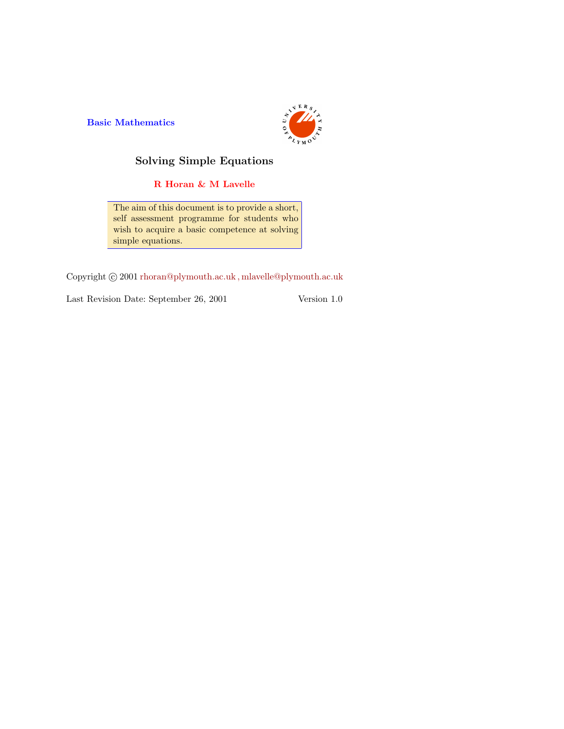Basic Mathematics



# Solving Simple Equations

R Horan & M Lavelle

The aim of this document is to provide a short, self assessment programme for students who wish to acquire a basic competence at solving simple equations.

Copyright  $\odot$  2001 rhoran@plymouth.ac.uk, mlavelle@plymouth.ac.uk

Last Revision Date: September 26, 2001 Version 1.0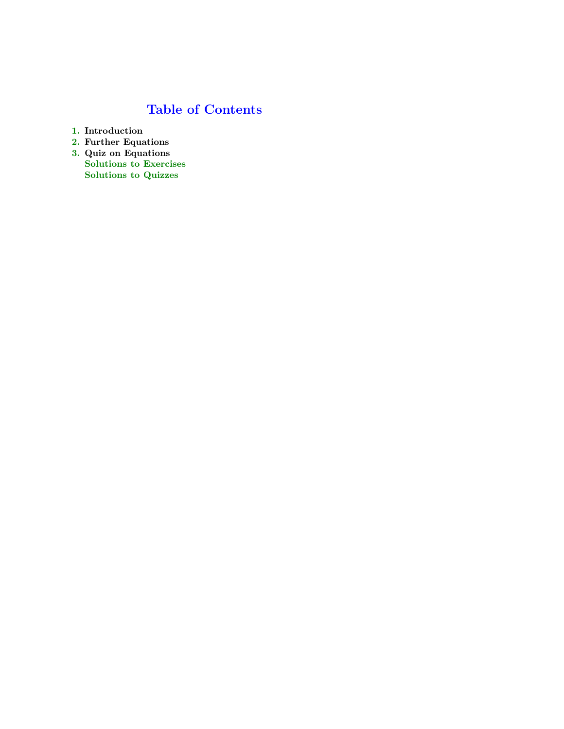# Table of Contents

- 1. Introduction
- 2. Further Equations
- 3. Quiz on Equations Solutions to Exercises Solutions to Quizzes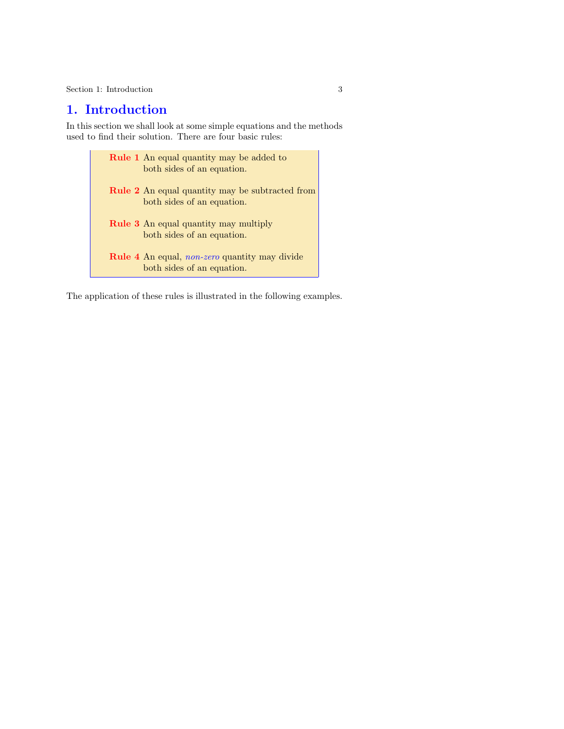# 1. Introduction

In this section we shall look at some simple equations and the methods used to find their solution. There are four basic rules:

> Rule 1 An equal quantity may be added to both sides of an equation. Rule 2 An equal quantity may be subtracted from both sides of an equation. Rule 3 An equal quantity may multiply both sides of an equation. Rule 4 An equal, non-zero quantity may divide both sides of an equation.

The application of these rules is illustrated in the following examples.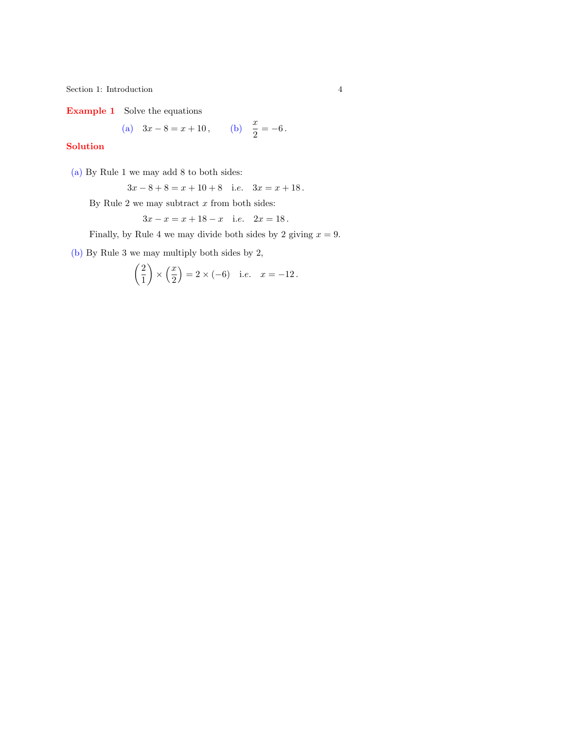Example 1 Solve the equations

(a) 
$$
3x - 8 = x + 10
$$
, (b)  $\frac{x}{2} = -6$ .

### Solution

(a) By Rule 1 we may add 8 to both sides:

$$
3x - 8 + 8 = x + 10 + 8
$$
 i.e.  $3x = x + 18$ .

By Rule 2 we may subtract  $x$  from both sides:

$$
3x - x = x + 18 - x
$$
 i.e.  $2x = 18$ .

Finally, by Rule 4 we may divide both sides by 2 giving  $x = 9$ .

(b) By Rule 3 we may multiply both sides by 2,

$$
\left(\frac{2}{1}\right) \times \left(\frac{x}{2}\right) = 2 \times (-6) \quad \text{i.e.} \quad x = -12.
$$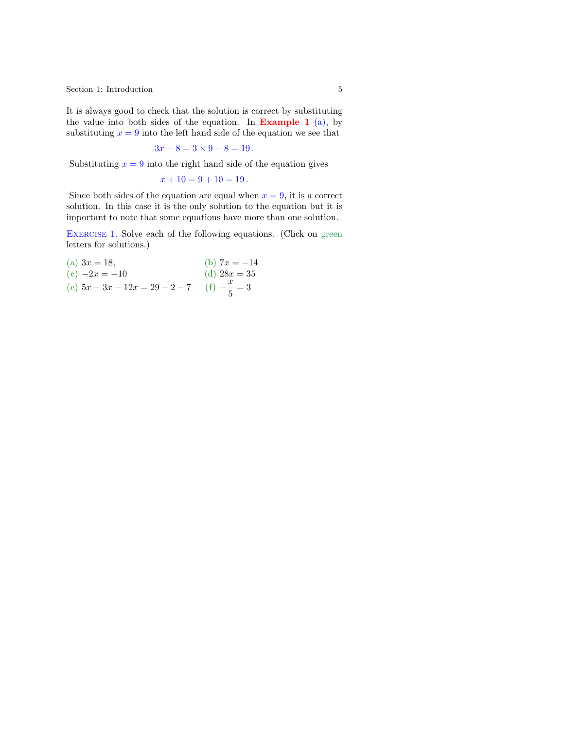It is always good to check that the solution is correct by substituting the value into both sides of the equation. In **Example 1** (a), by substituting  $x = 9$  into the left hand side of the equation we see that

$$
3x - 8 = 3 \times 9 - 8 = 19.
$$

Substituting  $x = 9$  into the right hand side of the equation gives

 $x + 10 = 9 + 10 = 19$  $x + 10 = 9 + 10 = 19$ .

Since both sides of t[he eq](#page-14-0)uation are equal when  $x = 9$ , it is a correct solution. In this case [it is](#page-16-0) the only solution to the equation but it is important to note that some equations have more than one solution.

EXERCISE 1. Solve each of the following equations. (Click on green letters for solutions.)

(a)  $3x = 18$ , (b)  $7x = -14$ (c)  $-2x = -10$  (d)  $28x = 35$ (e)  $5x - 3x - 12x = 29 - 2 - 7$  (f)  $-\frac{x}{5}$  $\frac{x}{5} = 3$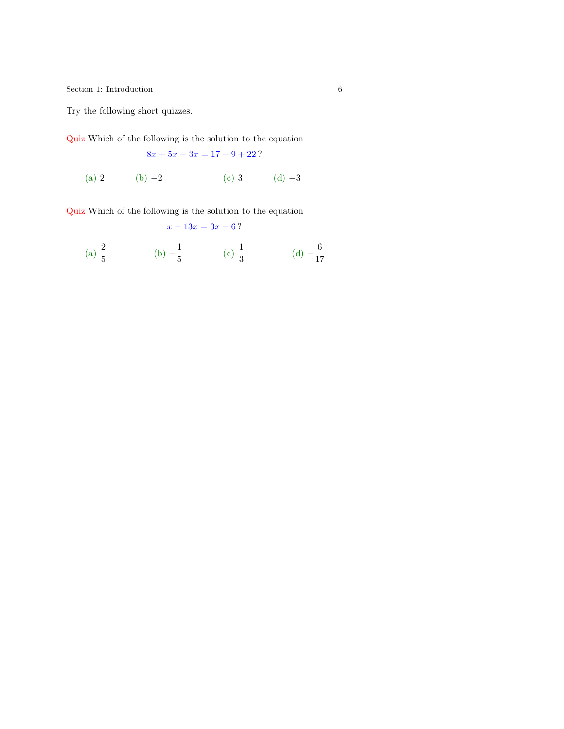<span id="page-5-0"></span>Try the following short quizzes.

Quiz Which of the following is the solution to the equation

 $8x + 5x - 3x = 17 - 9 + 22$ ?

(a) 2 (b) −2 (c) 3 (d) −3

Quiz Which of the following is the solution to the equation

(a) 
$$
\frac{2}{5}
$$
 \t\t (b)  $-\frac{1}{5}$  \t\t (c)  $\frac{1}{3}$  \t\t (d)  $-\frac{6}{17}$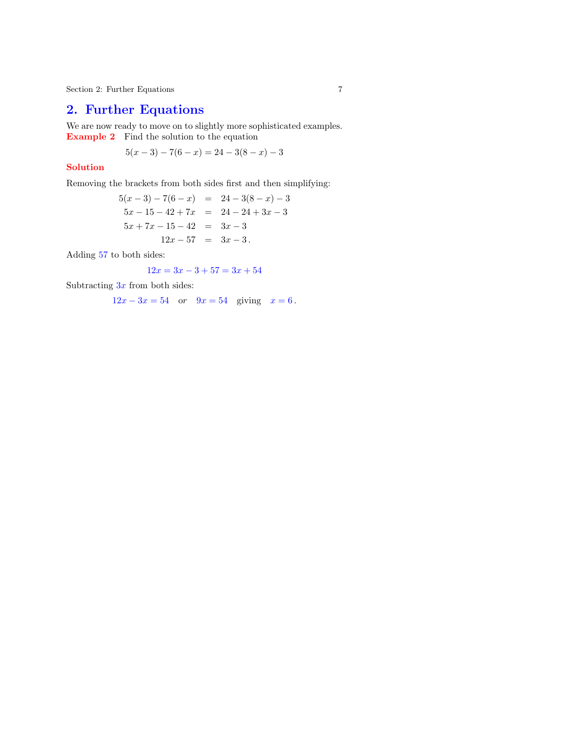# 2. Further Equations

We are now ready to move on to slightly more sophisticated examples. Example 2 Find the solution to the equation

$$
5(x-3) - 7(6-x) = 24 - 3(8-x) - 3
$$

### Solution

Removing the brackets from both sides first and then simplifying:

$$
5(x-3) - 7(6-x) = 24 - 3(8-x) - 3
$$
  
\n
$$
5x - 15 - 42 + 7x = 24 - 24 + 3x - 3
$$
  
\n
$$
5x + 7x - 15 - 42 = 3x - 3
$$
  
\n
$$
12x - 57 = 3x - 3
$$

Adding 57 to both sides:

$$
12x = 3x - 3 + 57 = 3x + 54
$$

Subtracting  $3x$  from both sides:

 $12x - 3x = 54$  or  $9x = 54$  giving  $x = 6$ .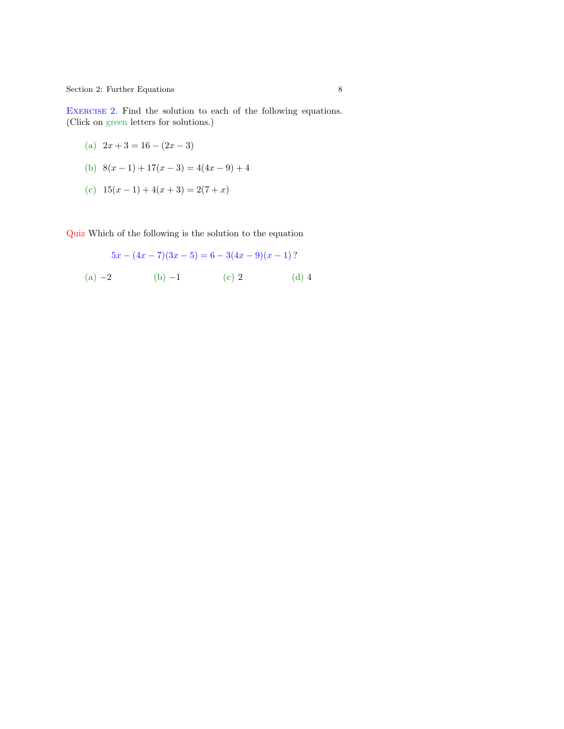<span id="page-7-0"></span> $8$  Section 2: Further Equations  $8$ 

EXERCISE 2. Find the solution to each of the following equations. (Click on green letters for solutions.)

- (a)  $2x + 3 = 16 (2x 3)$
- (b)  $8(x-1) + 17(x-3) = 4(4x-9) + 4$
- (c)  $15(x-1) + 4(x+3) = 2(7+x)$

Quiz Which of the following is the solution to the equation

$$
5x - (4x - 7)(3x - 5) = 6 - 3(4x - 9)(x - 1)?
$$
  
(a) -2 (b) -1 (c) 2 (d) 4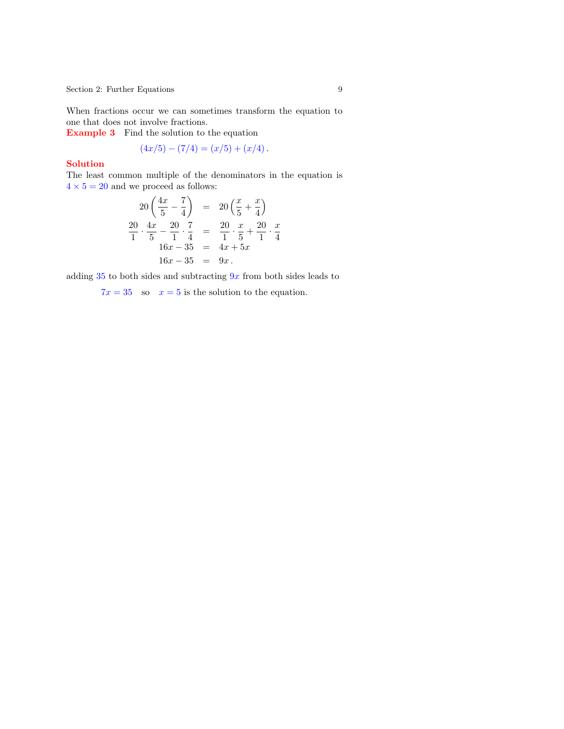Section 2: Further Equations 9

When fractions occur we can sometimes transform the equation to one that does not involve fractions.

Example 3 Find the solution to the equation

 $(4x/5) - (7/4) = (x/5) + (x/4)$ .

#### Solution

The least common multiple of the denominators in the equation is  $4 \times 5 = 20$  and we proceed as follows:

$$
20\left(\frac{4x}{5} - \frac{7}{4}\right) = 20\left(\frac{x}{5} + \frac{x}{4}\right)
$$
  

$$
\frac{20}{1} \cdot \frac{4x}{5} - \frac{20}{1} \cdot \frac{7}{4} = \frac{20}{1} \cdot \frac{x}{5} + \frac{20}{1} \cdot \frac{x}{4}
$$
  

$$
16x - 35 = 9x.
$$

adding 35 to both sides and subtracting  $9x$  from both sides leads to

 $7x = 35$  so  $x = 5$  is the solution to the equation.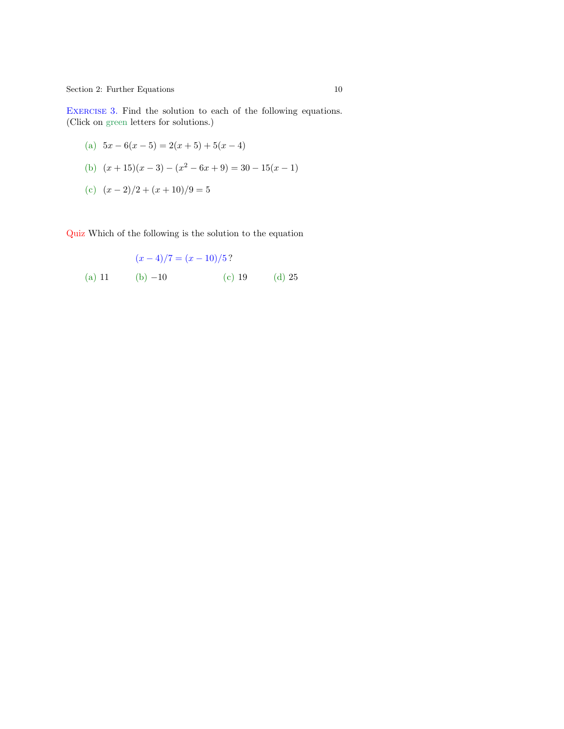<span id="page-9-0"></span>Section 2: Further Equations 10

EXERCISE 3. Find the solution to each of the following equations. (Click on green letters for solutions.)

(a) 
$$
5x-6(x-5) = 2(x+5) + 5(x-4)
$$

(b) 
$$
(x+15)(x-3) - (x^2 - 6x + 9) = 30 - 15(x - 1)
$$

(c)  $(x-2)/2 + (x+10)/9 = 5$ 

Quiz Which of the following is the solution to the equation

(x − 4)/7 = (x − 10)/5 ? (a) 11 (b) −10 (c) 19 (d) 25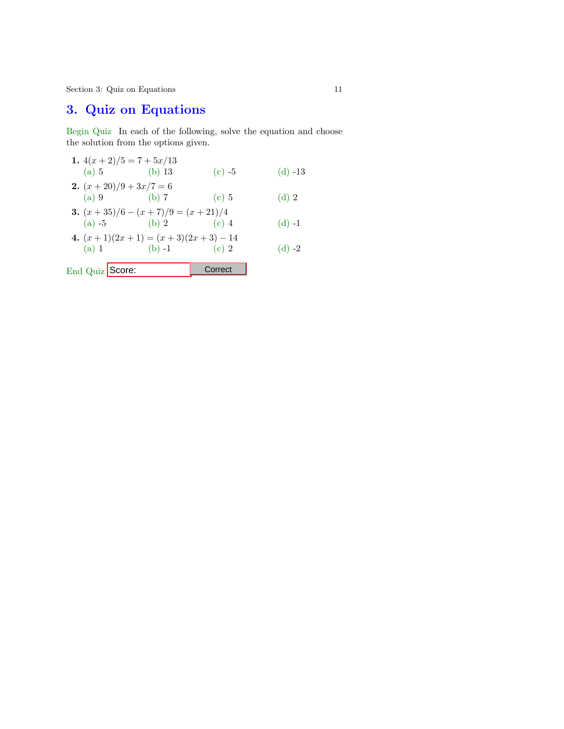Section 3: Quiz on Equations 11

# 3. Quiz on Equations

Begin Quiz In each of the following, solve the equation and choose the solution from the options given.

| (a) 5                       | 1. $4(x+2)/5 = 7 + 5x/13$<br>(b) 13                      | $(c) -5$ | $(d) -13$ |
|-----------------------------|----------------------------------------------------------|----------|-----------|
| <b>2.</b> $(x+20)/9+3x/7=6$ |                                                          |          |           |
|                             | (a) 9 (b) 7<br><b>3.</b> $(x+35)/6 - (x+7)/9 = (x+21)/4$ | (c)5     | $(d)$ 2   |
|                             | (a) $-5$ (b) 2<br>4. $(x+1)(2x+1) = (x+3)(2x+3) - 14$    | $(c)$ 4  | $(d) -1$  |
| (a) 1                       | (b) $-1$                                                 | $(c)$ 2  | (d) $-2$  |
| End Quiz Score:             |                                                          | Correct  |           |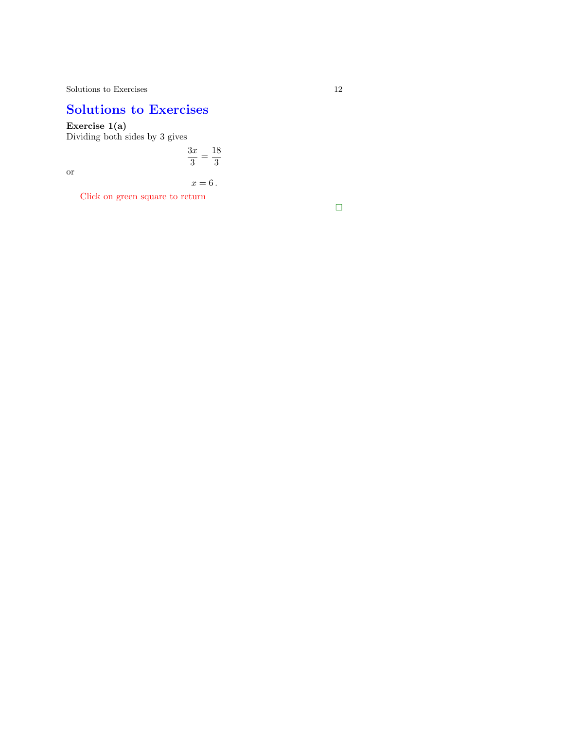# Solutions to Exercises

Exercise 1(a)

Dividing both sides by 3 gives

 $3x$  $\frac{3x}{3} = \frac{18}{3}$ or

 $x = 6$ .

3

Click on green square to return

 $\Box$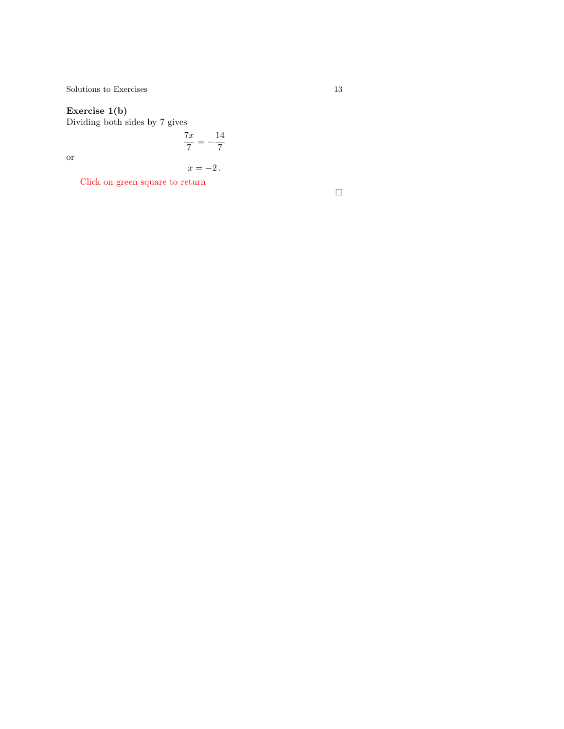<span id="page-12-0"></span> $\begin{tabular}{c} Solutions to Exercises \\ \end{tabular} \begin{tabular}{c} \textbf{13} \\ \textbf{24} \\ \textbf{35} \\ \textbf{46} \\ \textbf{57} \\ \textbf{68} \\ \textbf{78} \\ \textbf{89} \\ \textbf{100} \\ \textbf{113} \\ \textbf{120} \\ \textbf{131} \\ \textbf{141} \\ \textbf{151} \\ \textbf{161} \\ \textbf{182} \\ \textbf{193} \\ \textbf{199} \\ \textbf{190} \\ \textbf{100} \\ \textbf{101} \\ \textbf{113} \\ \textbf{$ 

#### Exercise 1(b)

Dividing both sides by 7 gives

 $7x$  $\frac{7x}{7} = -\frac{14}{7}$ 7

or

$$
x=-2\,.
$$

Click on green square to return

 $\Box$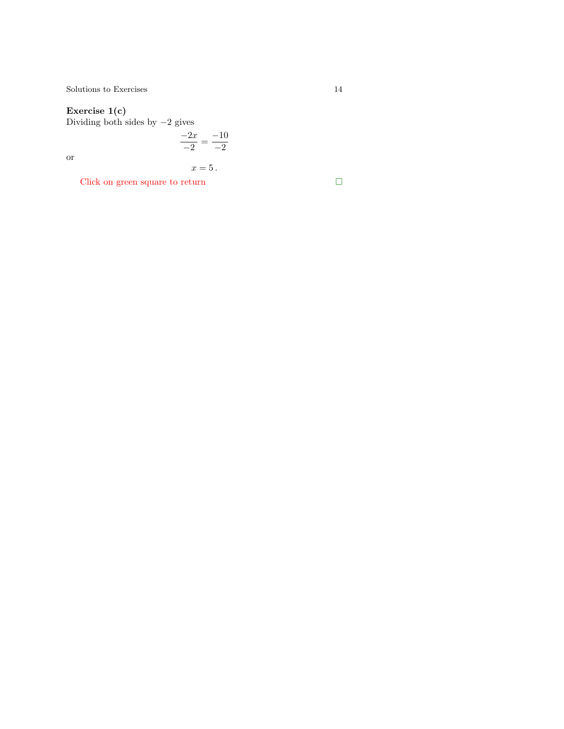#### Exercise 1(c)

Dividing both sides by  $-2$  gives

$$
\frac{-2x}{-2} = \frac{-10}{-2}
$$

or

$$
x=5.
$$

Click on green square to return  $\hfill\Box$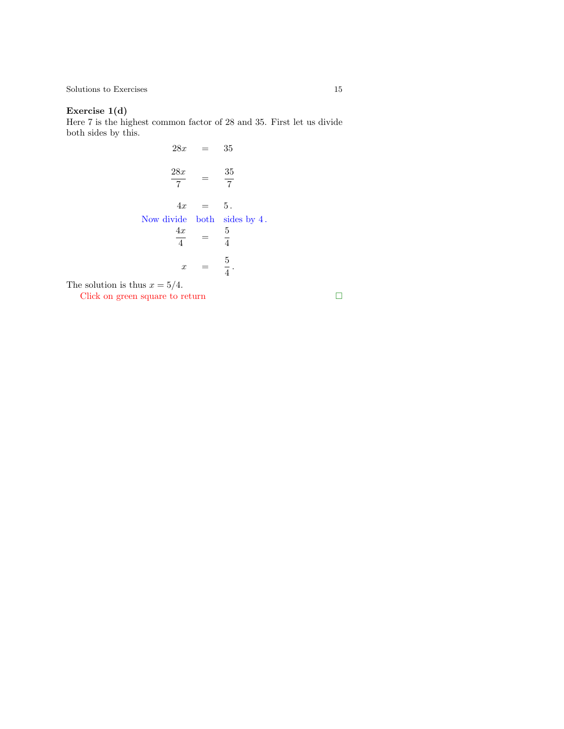<span id="page-14-0"></span> $\begin{tabular}{c} Solutions to Exercises\\ \end{tabular} \begin{tabular}{c} \textbf{5} \\ \textbf{6} \\ \textbf{7} \\ \textbf{8} \\ \textbf{9} \\ \textbf{10} \\ \textbf{11} \\ \textbf{12} \\ \textbf{13} \\ \textbf{14} \\ \textbf{15} \\ \textbf{16} \\ \textbf{17} \\ \textbf{18} \\ \textbf{19} \\ \textbf{19} \\ \textbf{10} \\ \textbf{10} \\ \textbf{11} \\ \textbf{12} \\ \textbf{13} \\ \textbf{14} \\ \textbf{15} \\ \textbf{16} \\ \textbf{17}$ 

## Exercise 1(d)

Here 7 is the highest common factor of 28 and 35. First let us divide both sides by this.

$$
28x = 35
$$
  

$$
\frac{28x}{7} = \frac{35}{7}
$$
  

$$
4x = 5
$$
  
Now divide both sides by 4.  

$$
\frac{4x}{4} = \frac{5}{4}
$$
  

$$
x = \frac{5}{4}
$$

The solution is thus  $x = 5/4$ .

Click on green square to return  $\hfill\Box$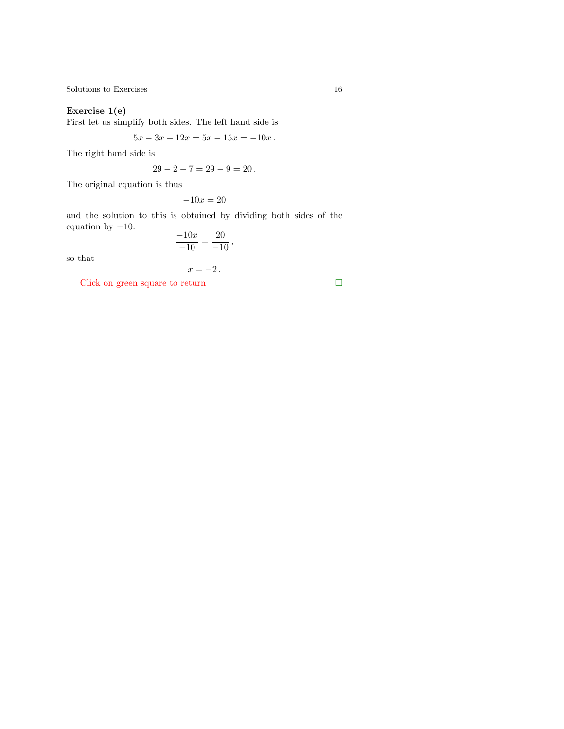## Exercise 1(e)

First let us simplify both sides. The left hand side is

$$
5x - 3x - 12x = 5x - 15x = -10x.
$$

The right hand side is

$$
29 - 2 - 7 = 29 - 9 = 20.
$$

The original equation is thus

$$
-10x = 20
$$

and the solution to this is obtained by dividing both sides of the equation by  $-10$ .

$$
\frac{-10x}{-10} = \frac{20}{-10},
$$

so that

$$
x=-2.
$$

Click on green square to return  $\hfill \Box$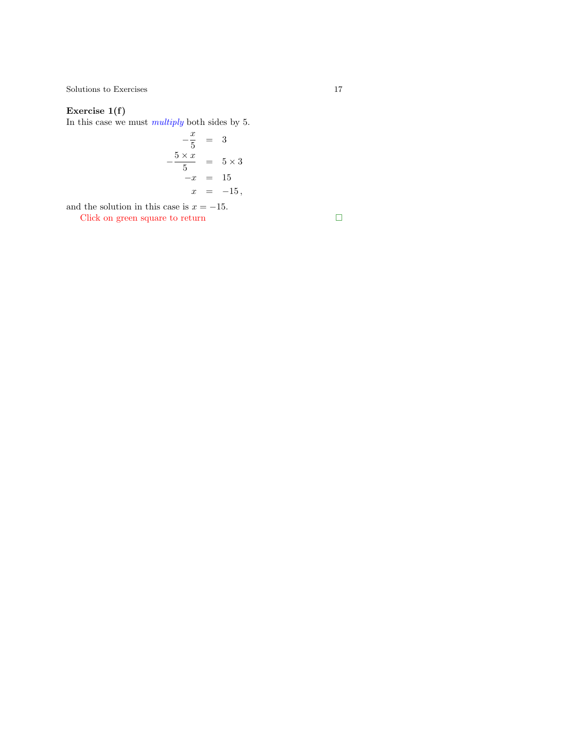<span id="page-16-0"></span> $\begin{tabular}{c} Solutions to Exercises \\ \end{tabular} \begin{tabular}{c} \textbf{17} \\ \textbf{21} \\ \textbf{32} \\ \textbf{43} \\ \textbf{54} \\ \textbf{65} \\ \textbf{76} \\ \textbf{87} \\ \textbf{98} \\ \textbf{108} \\ \textbf{117} \\ \textbf{129} \\ \textbf{130} \\ \textbf{140} \\ \textbf{150} \\ \textbf{160} \\ \textbf{17} \\ \textbf{180} \\ \textbf{190} \\ \textbf{190} \\ \textbf{190} \\ \textbf{100} \\ \textbf{10$ 

## Exercise 1(f)

In this case we must multiply both sides by 5.

$$
-\frac{x}{5} = 3
$$
  

$$
-\frac{5 \times x}{5} = 5 \times 3
$$
  

$$
-x = 15
$$
  

$$
x = -15,
$$

and the solution in this case is  $x = -15$ .

Click on green square to return  $\hfill\Box$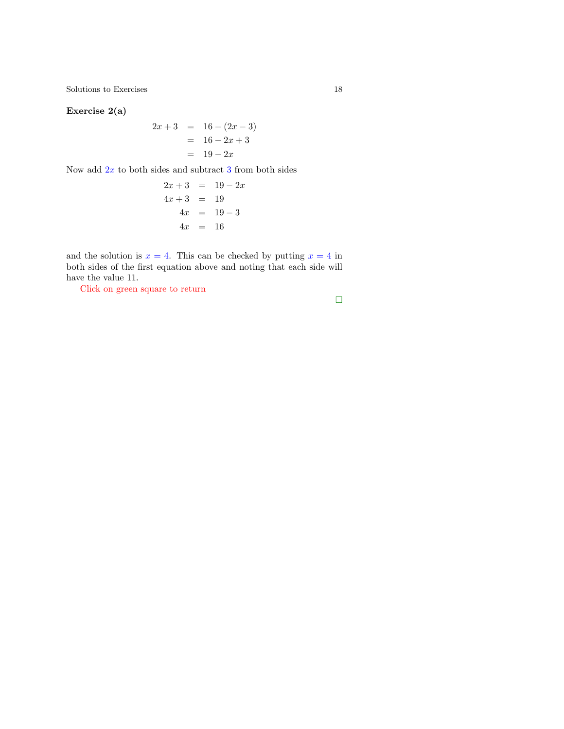Exercise 2(a)

$$
2x + 3 = 16 - (2x - 3)
$$
  
= 16 - 2x + 3  
= 19 - 2x

Now add  $2x$  to both sides and subtract  $3$  from both sides

$$
2x + 3 = 19 - 2x
$$
  
\n
$$
4x + 3 = 19
$$
  
\n
$$
4x = 19 - 3
$$
  
\n
$$
4x = 16
$$

and the solution is  $x = 4$ . This can be checked by putting  $x = 4$  in both sides of the first equation above and noting that each side will have the value 11.

Click on green square to return

$$
\Box
$$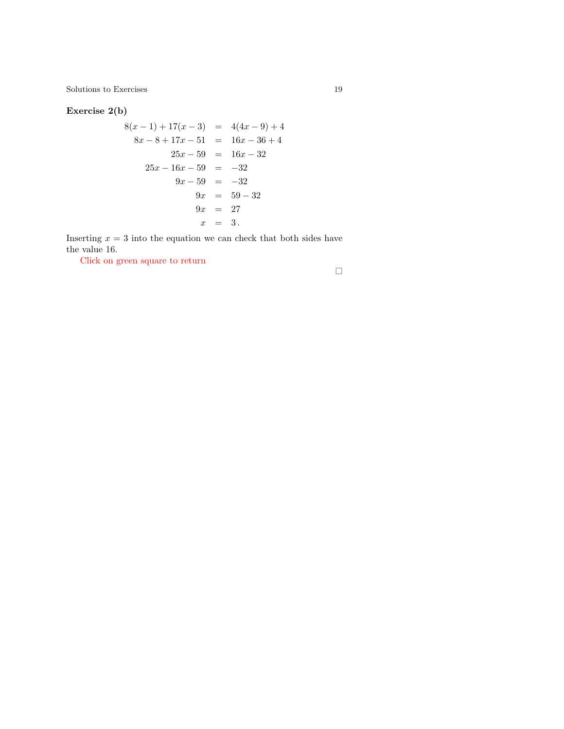$\begin{tabular}{c} Solutions to Exercises \\ \end{tabular} \begin{tabular}{c} \textbf{5} & \textbf{19} \\ \textbf{19} & \textbf{21} \\ \end{tabular}$ 

## Exercise 2(b)

$$
8(x - 1) + 17(x - 3) = 4(4x - 9) + 4
$$
  
\n
$$
8x - 8 + 17x - 51 = 16x - 36 + 4
$$
  
\n
$$
25x - 59 = 16x - 32
$$
  
\n
$$
25x - 16x - 59 = -32
$$
  
\n
$$
9x - 59 = -32
$$
  
\n
$$
9x = 59 - 32
$$
  
\n
$$
9x = 27
$$
  
\n
$$
x = 3
$$

Inserting  $x = 3$  into the equation we can check that both sides have the value 16.

Click on green square to return

 $\Box$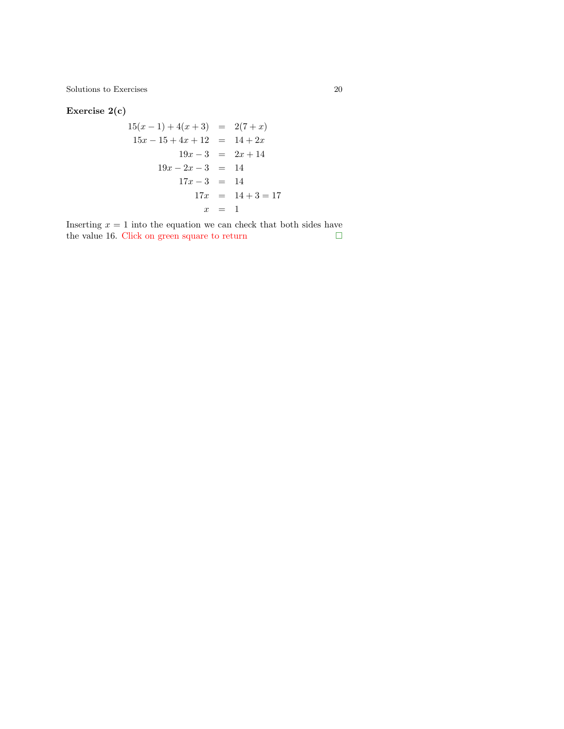Exercise 2(c)

$$
15(x - 1) + 4(x + 3) = 2(7 + x)
$$
  
\n
$$
15x - 15 + 4x + 12 = 14 + 2x
$$
  
\n
$$
19x - 3 = 2x + 14
$$
  
\n
$$
19x - 2x - 3 = 14
$$
  
\n
$$
17x - 3 = 14
$$
  
\n
$$
17x = 14 + 3 = 17
$$
  
\n
$$
x = 1
$$

Inserting  $x = 1$  into the equation we can check that both sides have the value 16. Click on green square to return  $\hfill \Box$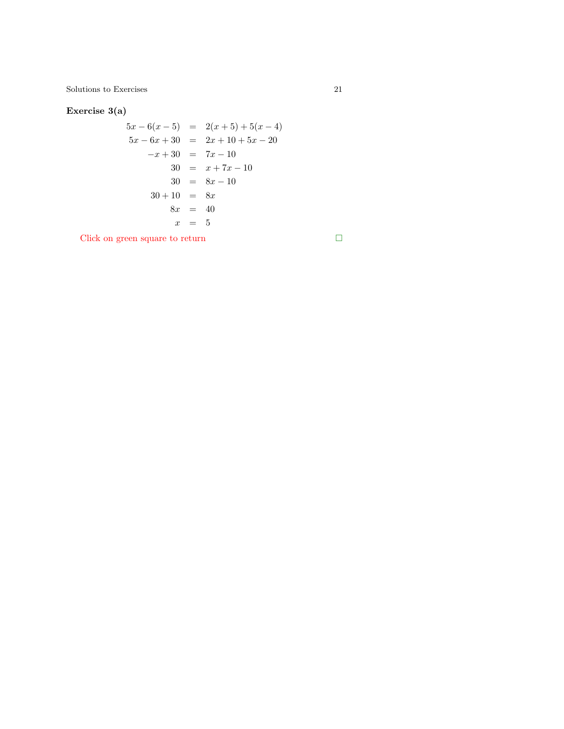Exercise 3(a)

$$
5x - 6(x - 5) = 2(x + 5) + 5(x - 4)
$$
  
\n
$$
5x - 6x + 30 = 2x + 10 + 5x - 20
$$
  
\n
$$
-x + 30 = 7x - 10
$$
  
\n
$$
30 = x + 7x - 10
$$
  
\n
$$
30 = 8x - 10
$$
  
\n
$$
30 + 10 = 8x
$$
  
\n
$$
8x = 40
$$
  
\n
$$
x = 5
$$

Click on green square to return  $\hfill\Box$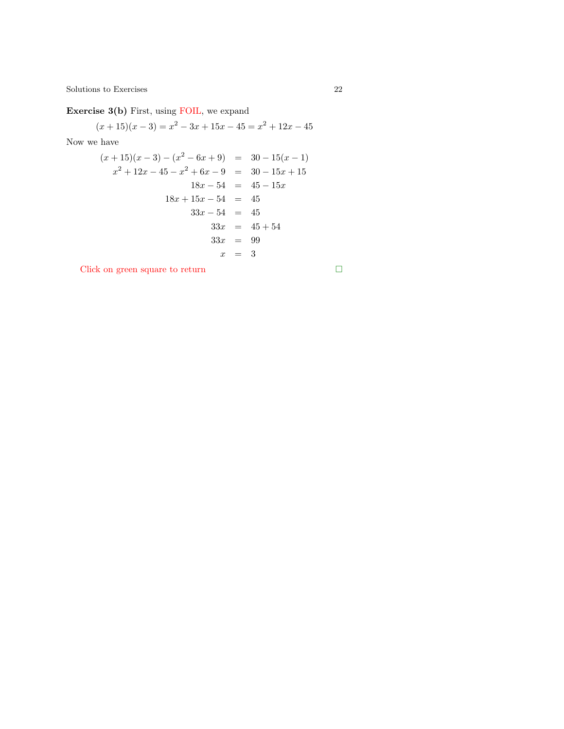Exercise 3(b) First, using FOIL, we expand

$$
(x+15)(x-3) = x2 - 3x + 15x - 45 = x2 + 12x - 45
$$

Now we have

$$
(x+15)(x-3) - (x2 - 6x + 9) = 30 - 15(x - 1)
$$
  
\n
$$
x2 + 12x - 45 - x2 + 6x - 9 = 30 - 15x + 15
$$
  
\n
$$
18x - 54 = 45 - 15x
$$
  
\n
$$
18x + 15x - 54 = 45
$$
  
\n
$$
33x - 54 = 45
$$
  
\n
$$
33x = 45 + 54
$$
  
\n
$$
33x = 99
$$
  
\n
$$
x = 3
$$

Click on green square to return  $\hfill \square$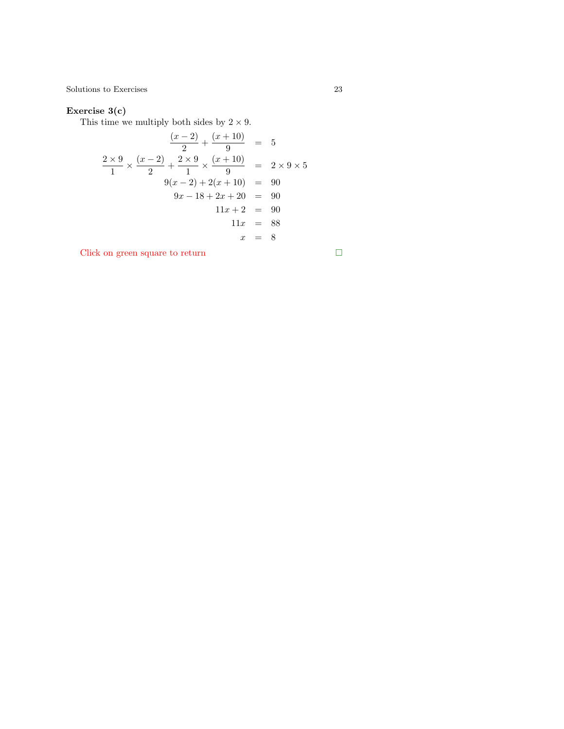## Exercise 3(c)

This time we multiply both sides by  $2 \times 9$ .

$$
\frac{(x-2)}{2} + \frac{(x+10)}{9} = 5
$$
  

$$
\frac{2 \times 9}{1} \times \frac{(x-2)}{2} + \frac{2 \times 9}{1} \times \frac{(x+10)}{9} = 2 \times 9 \times 5
$$
  

$$
9(x-2) + 2(x+10) = 90
$$
  

$$
9x - 18 + 2x + 20 = 90
$$
  

$$
11x + 2 = 90
$$
  

$$
11x = 88
$$
  

$$
x = 8
$$

Click on green square to return  $\hfill \square$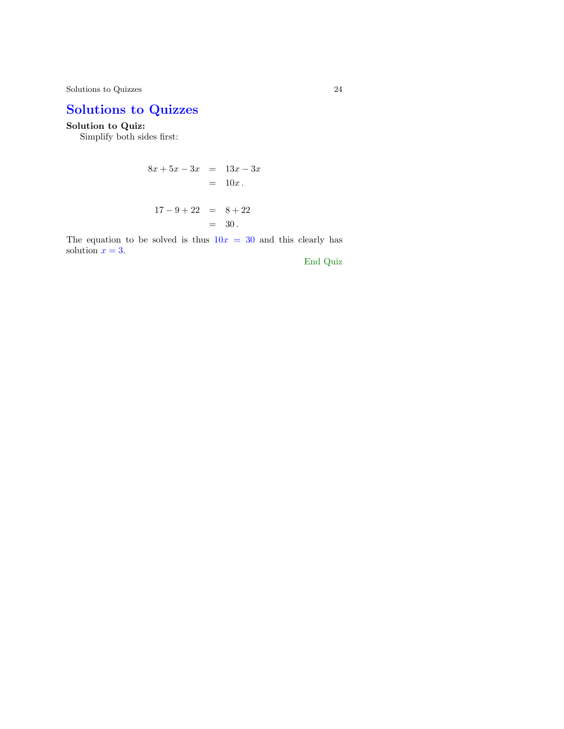Solutions to Quizzes 24

# Solutions to Quizzes

## Solution to Quiz:

Simplify both sides first:

$$
8x + 5x - 3x = 13x - 3x
$$
  
= 10x.  

$$
17 - 9 + 22 = 8 + 22
$$
  
= 30.

The equation to be solved is thus  $10x = 30$  and this clearly has solution  $x = 3$ .

End Quiz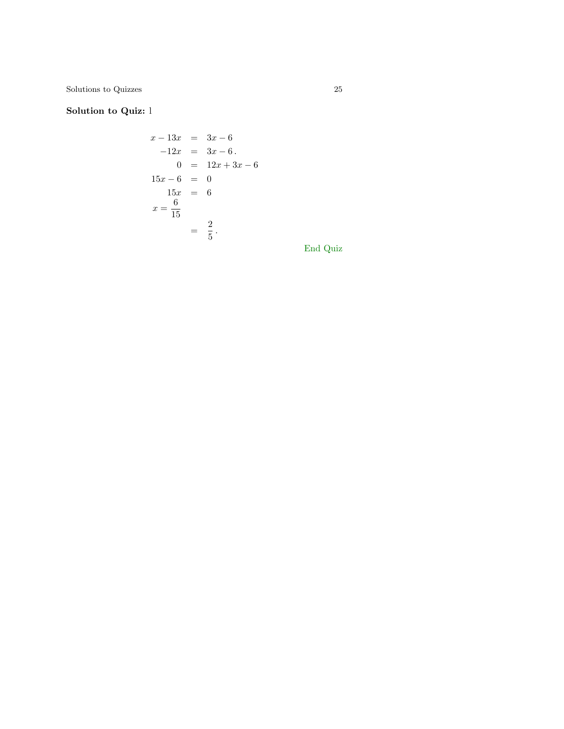$\begin{tabular}{c} Solutions to Quizzes \\ \end{tabular}$ 

# Solution to Quiz: l

$$
x - 13x = 3x - 6
$$
  
\n
$$
-12x = 3x - 6.
$$
  
\n
$$
0 = 12x + 3x - 6
$$
  
\n
$$
15x - 6 = 0
$$
  
\n
$$
15x = 6
$$
  
\n
$$
x = \frac{6}{15}
$$
  
\n
$$
= \frac{2}{5}.
$$

End Quiz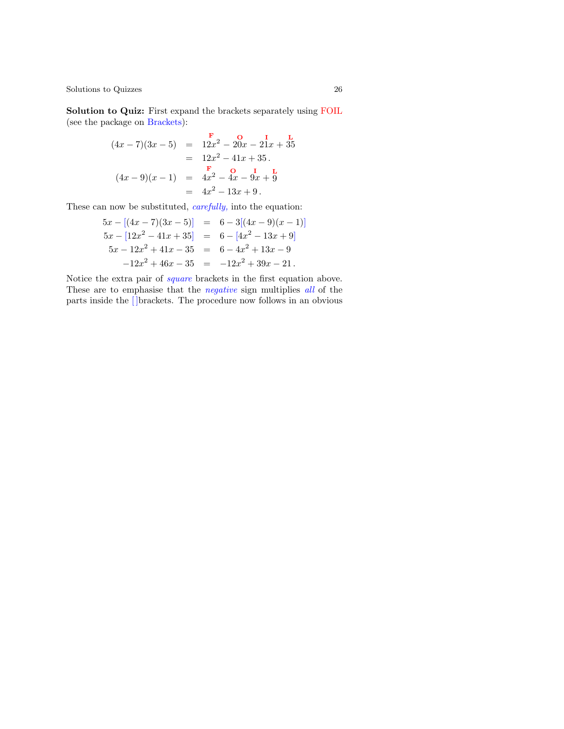Solution to Quiz: First expand the brackets separately using FOIL (see the package on Brackets):

$$
(4x-7)(3x-5) = 12x2 - 20x - 21x + 35
$$
  
= 12x<sup>2</sup> - 41x + 35.  

$$
(4x-9)(x-1) = 4x2 - 4x - 9x + 9
$$
  
= 4x<sup>2</sup> - 13x + 9.

These can now be substituted, *carefully*, into the equation:

$$
5x - [(4x - 7)(3x - 5)] = 6 - 3[(4x - 9)(x - 1)]
$$
  
\n
$$
5x - [12x2 - 41x + 35] = 6 - [4x2 - 13x + 9]
$$
  
\n
$$
5x - 12x2 + 41x - 35 = 6 - 4x2 + 13x - 9
$$
  
\n
$$
-12x2 + 46x - 35 = -12x2 + 39x - 21.
$$

Notice the extra pair of square brackets in the first equation above. These are to emphasise that the *negative* sign multiplies all of the parts inside the [ ]brackets. The procedure now follows in an obvious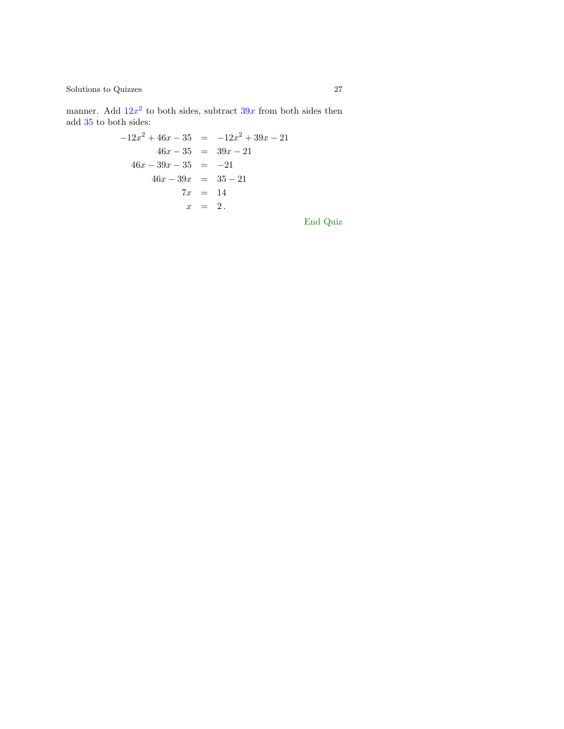$\begin{tabular}{c} Solutions to Quizes \end{tabular} \begin{tabular}{c} \multicolumn{2}{c}{\textbf{\textcolor{blue}{\bf\textcolor{blue}{\bf\textcolor{blue}{\bf\textcolor{blue}{\bf\textcolor{blue}{\bf\textcolor{blue}{\bf\textcolor{blue}{\bf\textcolor{blue}{\bf\textcolor{blue}{\bf\textcolor{blue}{\bf\textcolor{blue}{\bf\textcolor{blue}{\bf\textcolor{blue}{\bf\textcolor{blue}{\bf\textcolor{blue}{\bf\textcolor{blue}{\bf\textcolor{blue}{\bf\textcolor{blue}{\bf\textcolor{blue}{\bf\textcolor{blue}{\bf\textcolor{blue}{\bf\textcolor{blue}{\bf\textcolor{blue}{$ 

manner. Add  $12x^2$  to both sides, subtract  $39x$  from both sides then add 35 to both sides:

$$
-12x^{2} + 46x - 35 = -12x^{2} + 39x - 21
$$
  
\n
$$
46x - 35 = 39x - 21
$$
  
\n
$$
46x - 39x - 35 = -21
$$
  
\n
$$
46x - 39x = 35 - 21
$$
  
\n
$$
7x = 14
$$
  
\n
$$
x = 2.
$$

End Quiz